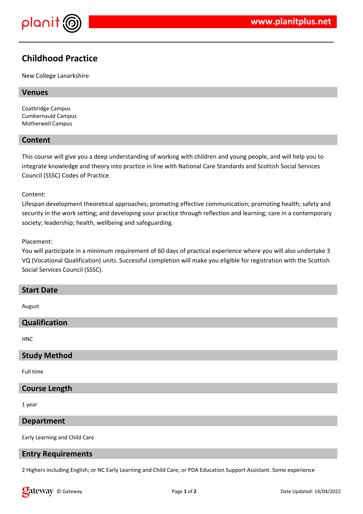

# **Childhood Practice**

New College Lanarkshire

### **Venues**

Coatbridge Campus Cumbernauld Campus Motherwell Campus

## **Content**

This course will give you a deep understanding of working with children and young people, and will help you to integrate knowledge and theory into practice in line with National Care Standards and Scottish Social Services Council (SSSC) Codes of Practice.

#### Content:

Lifespan development theoretical approaches; promoting effective communication; promoting health; safety and security in the work setting; and developing your practice through reflection and learning; care in a contemporary society; leadership; health, wellbeing and safeguarding.

#### Placement:

You will participate in a minimum requirement of 60 days of practical experience where you will also undertake 3 VQ (Vocational Qualification) units. Successful completion will make you eligible for registration with the Scottish Social Services Council (SSSC).

#### **Start Date**

August

# **Qualification**

**HNC** 

#### **Study Method**

Full time

## **Course Length**

1 year

#### **Department**

Early Learning and Child Care

## **Entry Requirements**

2 Highers including English; or NC Early Learning and Child Care; or PDA Education Support Assistant. Some experience